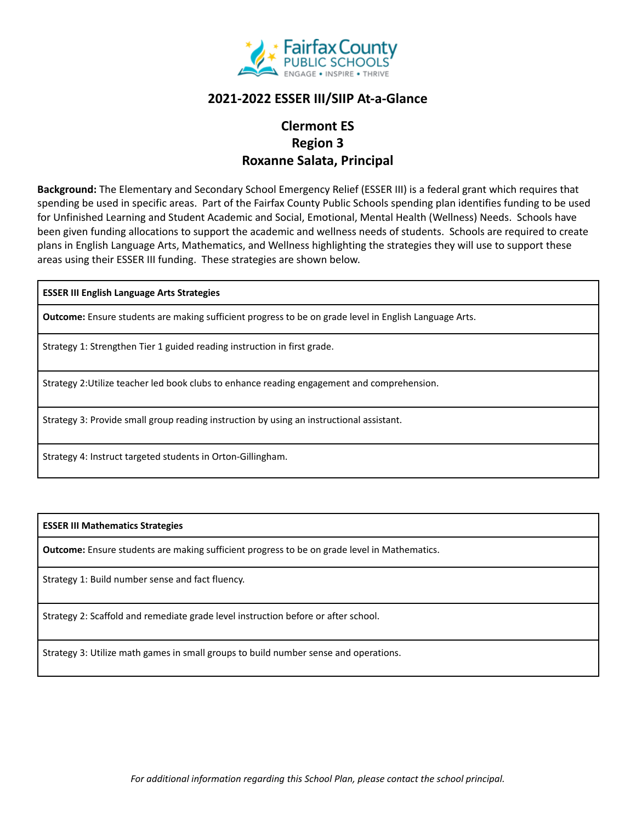

## **2021-2022 ESSER III/SIIP At-a-Glance**

# **Clermont ES Region 3 Roxanne Salata, Principal**

**Background:** The Elementary and Secondary School Emergency Relief (ESSER III) is a federal grant which requires that spending be used in specific areas. Part of the Fairfax County Public Schools spending plan identifies funding to be used for Unfinished Learning and Student Academic and Social, Emotional, Mental Health (Wellness) Needs. Schools have been given funding allocations to support the academic and wellness needs of students. Schools are required to create plans in English Language Arts, Mathematics, and Wellness highlighting the strategies they will use to support these areas using their ESSER III funding. These strategies are shown below.

**ESSER III English Language Arts Strategies**

**Outcome:** Ensure students are making sufficient progress to be on grade level in English Language Arts.

Strategy 1: Strengthen Tier 1 guided reading instruction in first grade.

Strategy 2:Utilize teacher led book clubs to enhance reading engagement and comprehension.

Strategy 3: Provide small group reading instruction by using an instructional assistant.

Strategy 4: Instruct targeted students in Orton-Gillingham.

### **ESSER III Mathematics Strategies**

**Outcome:** Ensure students are making sufficient progress to be on grade level in Mathematics.

Strategy 1: Build number sense and fact fluency.

Strategy 2: Scaffold and remediate grade level instruction before or after school.

Strategy 3: Utilize math games in small groups to build number sense and operations.